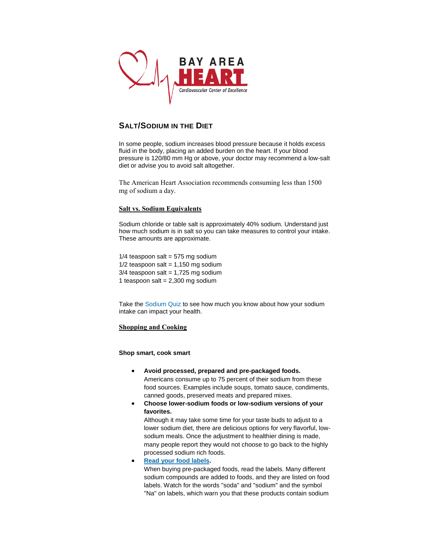

## **SALT/SODIUM IN THE DIET**

In some people, sodium increases blood pressure because it holds excess fluid in the body, placing an added burden on the heart. If your blood pressure is 120/80 mm Hg or above, your doctor may recommend a low-salt diet or advise you to avoid salt altogether.

The American Heart Association recommends consuming less than 1500 mg of sodium a day.

## **Salt vs. Sodium Equivalents**

Sodium chloride or table salt is approximately 40% sodium. Understand just how much sodium is in salt so you can take measures to control your intake. These amounts are approximate.

 $1/4$  teaspoon salt = 575 mg sodium  $1/2$  teaspoon salt = 1,150 mg sodium  $3/4$  teaspoon salt = 1,725 mg sodium 1 teaspoon salt =  $2,300$  mg sodium

Take the [Sodium Quiz](http://sodiumbreakup.heart.org/test-your-knowledge/) to see how much you know about how your sodium intake can impact your health.

## **Shopping and Cooking**

**Shop smart, cook smart**

- **Avoid processed, prepared and pre-packaged foods.** Americans consume up to 75 percent of their sodium from these food sources. Examples include soups, tomato sauce, condiments, canned goods, preserved meats and prepared mixes.
- **Choose lower-sodium foods or low-sodium versions of your favorites.**

Although it may take some time for your taste buds to adjust to a lower sodium diet, there are delicious options for very flavorful, lowsodium meals. Once the adjustment to healthier dining is made, many people report they would not choose to go back to the highly processed sodium rich foods.

 **[Read your food labels.](http://www.heart.org/HEARTORG/GettingHealthy/NutritionCenter/HealthyEating/Understanding-Ingredients-on-Food-Labels_UCM_433234_Article.jsp)** When buying pre-packaged foods, read the labels. Many different sodium compounds are added to foods, and they are listed on food labels. Watch for the words "soda" and "sodium" and the symbol "Na" on labels, which warn you that these products contain sodium